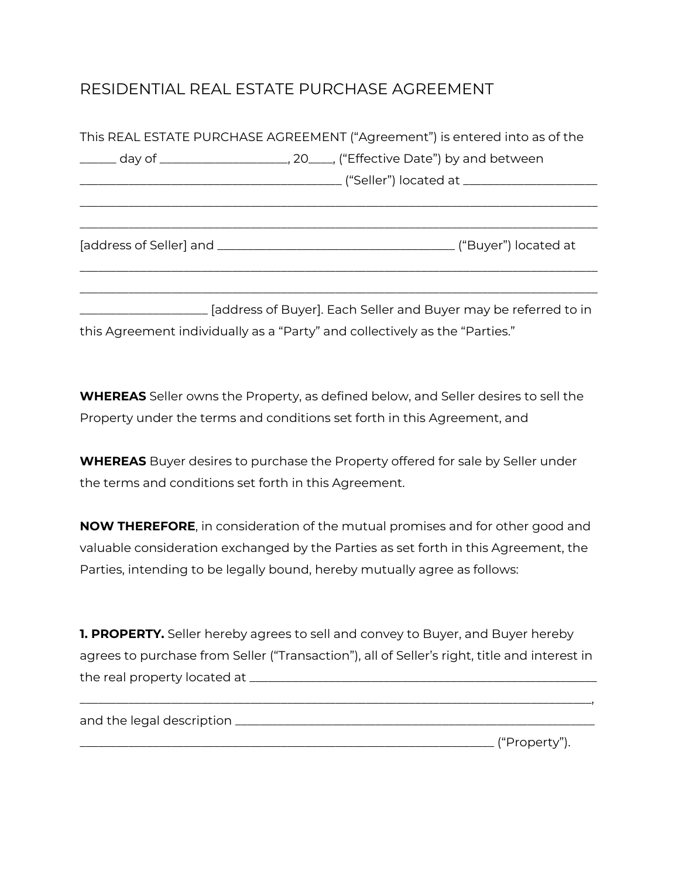## RESIDENTIAL REAL ESTATE PURCHASE AGREEMENT

| This REAL ESTATE PURCHASE AGREEMENT ("Agreement") is entered into as of the      |                                                                                         |  |  |
|----------------------------------------------------------------------------------|-----------------------------------------------------------------------------------------|--|--|
| ______ day of _______________________, 20____, ("Effective Date") by and between |                                                                                         |  |  |
|                                                                                  | ____________________________________("Seller") located at ______________________        |  |  |
|                                                                                  |                                                                                         |  |  |
|                                                                                  |                                                                                         |  |  |
|                                                                                  |                                                                                         |  |  |
|                                                                                  | _______________________ [address of Buyer]. Each Seller and Buyer may be referred to in |  |  |
| this Agreement individually as a "Party" and collectively as the "Parties."      |                                                                                         |  |  |

**WHEREAS** Seller owns the Property, as defined below, and Seller desires to sell the Property under the terms and conditions set forth in this Agreement, and

**WHEREAS** Buyer desires to purchase the Property offered for sale by Seller under the terms and conditions set forth in this Agreement.

**NOW THEREFORE**, in consideration of the mutual promises and for other good and valuable consideration exchanged by the Parties as set forth in this Agreement, the Parties, intending to be legally bound, hereby mutually agree as follows:

| <b>1. PROPERTY.</b> Seller hereby agrees to sell and convey to Buyer, and Buyer hereby       |
|----------------------------------------------------------------------------------------------|
| agrees to purchase from Seller ("Transaction"), all of Seller's right, title and interest in |
| the real property located at _                                                               |

\_\_\_\_\_\_\_\_\_\_\_\_\_\_\_\_\_\_\_\_\_\_\_\_\_\_\_\_\_\_\_\_\_\_\_\_\_\_\_\_\_\_\_\_\_\_\_\_\_\_\_\_\_\_\_\_\_\_\_\_\_\_\_\_\_\_\_\_\_\_\_\_\_\_\_\_\_\_\_\_\_\_\_\_,

and the legal description \_\_\_\_\_\_\_\_\_\_\_\_\_\_\_\_\_\_\_\_\_\_\_\_\_\_\_\_\_\_\_\_\_\_\_\_\_\_\_\_\_\_\_\_\_\_\_\_\_\_\_\_\_\_\_\_\_\_\_

\_\_\_\_\_\_\_\_\_\_\_\_\_\_\_\_\_\_\_\_\_\_\_\_\_\_\_\_\_\_\_\_\_\_\_\_\_\_\_\_\_\_\_\_\_\_\_\_\_\_\_\_\_\_\_\_\_\_\_\_\_\_\_\_\_\_\_\_ ("Property").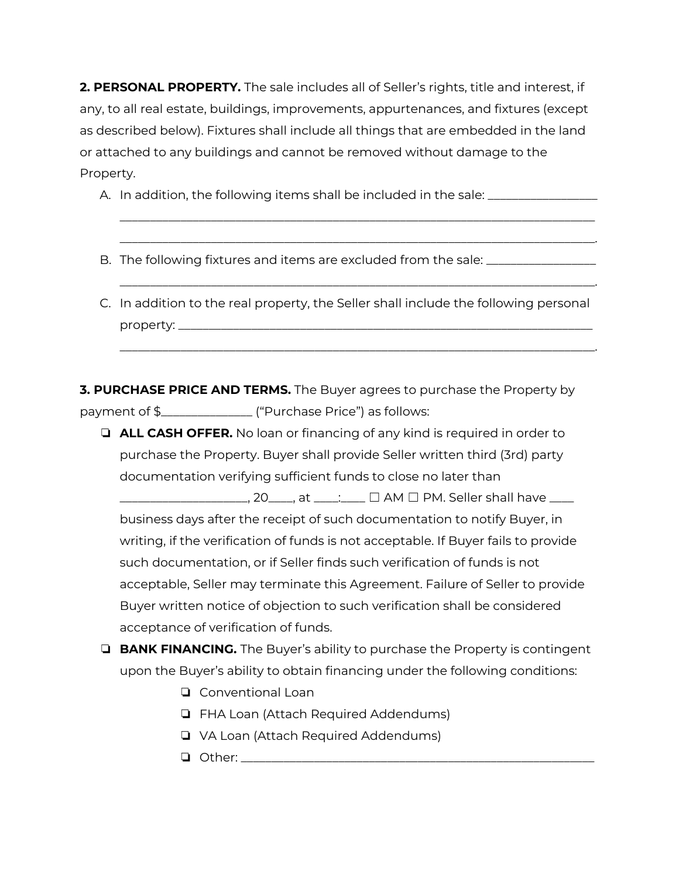**2. PERSONAL PROPERTY.** The sale includes all of Seller's rights, title and interest, if any, to all real estate, buildings, improvements, appurtenances, and fixtures (except as described below). Fixtures shall include all things that are embedded in the land or attached to any buildings and cannot be removed without damage to the Property.

A. In addition, the following items shall be included in the sale: \_\_\_\_\_\_\_\_\_\_\_\_\_

- B. The following fixtures and items are excluded from the sale: \_\_\_\_\_\_\_\_\_\_\_\_\_\_\_\_
- C. In addition to the real property, the Seller shall include the following personal property: \_\_\_\_\_\_\_\_\_\_\_\_\_\_\_\_\_\_\_\_\_\_\_\_\_\_\_\_\_\_\_\_\_\_\_\_\_\_\_\_\_\_\_\_\_\_\_\_\_\_\_\_\_\_\_\_\_\_\_\_\_\_\_\_\_\_\_\_

\_\_\_\_\_\_\_\_\_\_\_\_\_\_\_\_\_\_\_\_\_\_\_\_\_\_\_\_\_\_\_\_\_\_\_\_\_\_\_\_\_\_\_\_\_\_\_\_\_\_\_\_\_\_\_\_\_\_\_\_\_\_\_\_\_\_\_\_\_\_\_\_\_\_\_\_\_\_ \_\_\_\_\_\_\_\_\_\_\_\_\_\_\_\_\_\_\_\_\_\_\_\_\_\_\_\_\_\_\_\_\_\_\_\_\_\_\_\_\_\_\_\_\_\_\_\_\_\_\_\_\_\_\_\_\_\_\_\_\_\_\_\_\_\_\_\_\_\_\_\_\_\_\_\_\_\_.

\_\_\_\_\_\_\_\_\_\_\_\_\_\_\_\_\_\_\_\_\_\_\_\_\_\_\_\_\_\_\_\_\_\_\_\_\_\_\_\_\_\_\_\_\_\_\_\_\_\_\_\_\_\_\_\_\_\_\_\_\_\_\_\_\_\_\_\_\_\_\_\_\_\_\_\_\_\_.

\_\_\_\_\_\_\_\_\_\_\_\_\_\_\_\_\_\_\_\_\_\_\_\_\_\_\_\_\_\_\_\_\_\_\_\_\_\_\_\_\_\_\_\_\_\_\_\_\_\_\_\_\_\_\_\_\_\_\_\_\_\_\_\_\_\_\_\_\_\_\_\_\_\_\_\_\_\_.

**3. PURCHASE PRICE AND TERMS.** The Buyer agrees to purchase the Property by payment of \$\_\_\_\_\_\_\_\_\_\_\_\_\_\_\_ ("Purchase Price") as follows:

❏ **ALL CASH OFFER.** No loan or financing of any kind is required in order to purchase the Property. Buyer shall provide Seller written third (3rd) party documentation verifying sufficient funds to close no later than

\_\_\_\_\_\_\_\_\_\_\_\_\_\_\_\_\_\_\_\_\_, 20\_\_\_\_, at \_\_\_\_:\_\_\_\_ ☐ AM ☐ PM. Seller shall have \_\_\_\_ business days after the receipt of such documentation to notify Buyer, in writing, if the verification of funds is not acceptable. If Buyer fails to provide such documentation, or if Seller finds such verification of funds is not acceptable, Seller may terminate this Agreement. Failure of Seller to provide Buyer written notice of objection to such verification shall be considered acceptance of verification of funds.

- ❏ **BANK FINANCING.** The Buyer's ability to purchase the Property is contingent upon the Buyer's ability to obtain financing under the following conditions:
	- ❏ Conventional Loan
	- ❏ FHA Loan (Attach Required Addendums)
	- ❏ VA Loan (Attach Required Addendums)
	- $\Box$  Other: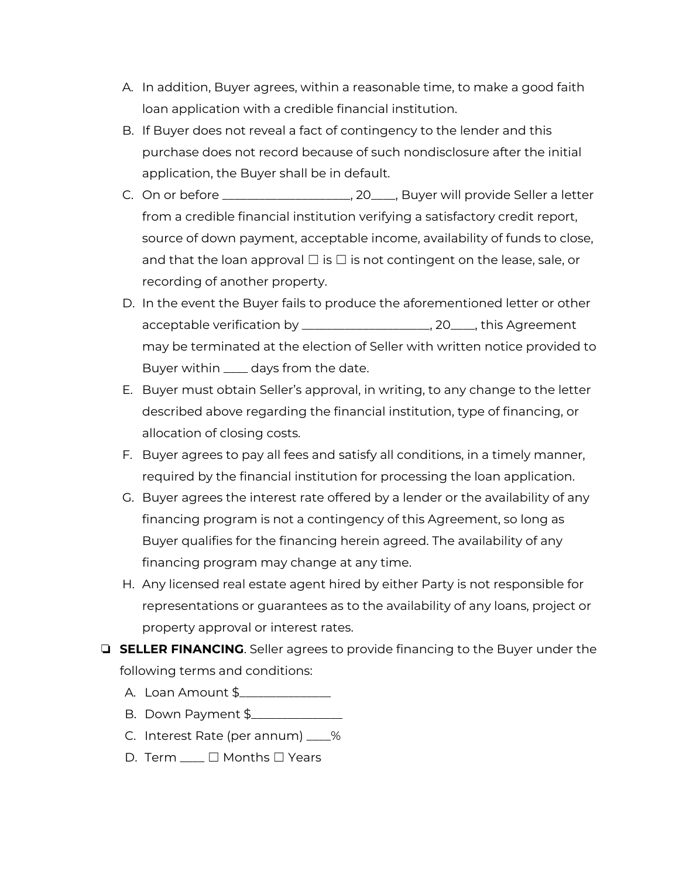- A. In addition, Buyer agrees, within a reasonable time, to make a good faith loan application with a credible financial institution.
- B. If Buyer does not reveal a fact of contingency to the lender and this purchase does not record because of such nondisclosure after the initial application, the Buyer shall be in default.
- C. On or before \_\_\_\_\_\_\_\_\_\_\_\_\_\_\_\_\_\_\_\_\_, 20\_\_\_\_, Buyer will provide Seller a letter from a credible financial institution verifying a satisfactory credit report, source of down payment, acceptable income, availability of funds to close, and that the loan approval  $\Box$  is  $\Box$  is not contingent on the lease, sale, or recording of another property.
- D. In the event the Buyer fails to produce the aforementioned letter or other acceptable verification by \_\_\_\_\_\_\_\_\_\_\_\_\_\_\_\_\_\_\_\_\_, 20\_\_\_\_, this Agreement may be terminated at the election of Seller with written notice provided to Buyer within \_\_\_\_ days from the date.
- E. Buyer must obtain Seller's approval, in writing, to any change to the letter described above regarding the financial institution, type of financing, or allocation of closing costs.
- F. Buyer agrees to pay all fees and satisfy all conditions, in a timely manner, required by the financial institution for processing the loan application.
- G. Buyer agrees the interest rate offered by a lender or the availability of any financing program is not a contingency of this Agreement, so long as Buyer qualifies for the financing herein agreed. The availability of any financing program may change at any time.
- H. Any licensed real estate agent hired by either Party is not responsible for representations or guarantees as to the availability of any loans, project or property approval or interest rates.
- ❏ **SELLER FINANCING**. Seller agrees to provide financing to the Buyer under the following terms and conditions:
	- A. Loan Amount \$\_\_\_\_\_\_\_\_\_\_\_\_\_\_\_
	- B. Down Payment \$\_\_\_\_\_\_\_\_\_\_\_\_\_\_\_
	- C. Interest Rate (per annum) \_\_\_\_%
	- D. Term  $□$  Months □ Years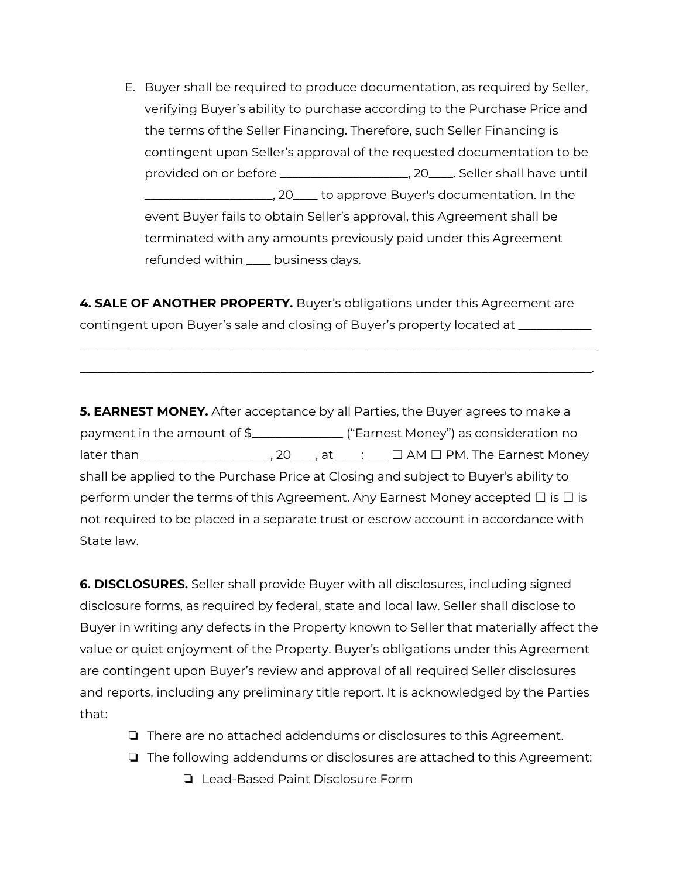E. Buyer shall be required to produce documentation, as required by Seller, verifying Buyer's ability to purchase according to the Purchase Price and the terms of the Seller Financing. Therefore, such Seller Financing is contingent upon Seller's approval of the requested documentation to be provided on or before \_\_\_\_\_\_\_\_\_\_\_\_\_\_\_\_\_\_\_\_\_, 20\_\_\_\_. Seller shall have until \_\_\_\_\_\_\_\_\_\_\_\_\_\_\_\_\_\_\_\_\_, 20\_\_\_\_ to approve Buyer's documentation. In the event Buyer fails to obtain Seller's approval, this Agreement shall be terminated with any amounts previously paid under this Agreement refunded within \_\_\_\_ business days.

**4. SALE OF ANOTHER PROPERTY.** Buyer's obligations under this Agreement are contingent upon Buyer's sale and closing of Buyer's property located at \_\_\_\_\_\_\_\_\_\_\_\_

\_\_\_\_\_\_\_\_\_\_\_\_\_\_\_\_\_\_\_\_\_\_\_\_\_\_\_\_\_\_\_\_\_\_\_\_\_\_\_\_\_\_\_\_\_\_\_\_\_\_\_\_\_\_\_\_\_\_\_\_\_\_\_\_\_\_\_\_\_\_\_\_\_\_\_\_\_\_\_\_\_\_\_\_\_ \_\_\_\_\_\_\_\_\_\_\_\_\_\_\_\_\_\_\_\_\_\_\_\_\_\_\_\_\_\_\_\_\_\_\_\_\_\_\_\_\_\_\_\_\_\_\_\_\_\_\_\_\_\_\_\_\_\_\_\_\_\_\_\_\_\_\_\_\_\_\_\_\_\_\_\_\_\_\_\_\_\_\_\_.

**5. EARNEST MONEY.** After acceptance by all Parties, the Buyer agrees to make a payment in the amount of \$\_\_\_\_\_\_\_\_\_\_\_\_\_\_\_ ("Earnest Money") as consideration no later than \_\_\_\_\_\_\_\_\_\_\_\_\_\_\_\_\_\_\_\_\_\_, 20\_\_\_\_\_, at \_\_\_\_\_: □ AM □ PM. The Earnest Money shall be applied to the Purchase Price at Closing and subject to Buyer's ability to perform under the terms of this Agreement. Any Earnest Money accepted  $\Box$  is  $\Box$  is not required to be placed in a separate trust or escrow account in accordance with State law.

**6. DISCLOSURES.** Seller shall provide Buyer with all disclosures, including signed disclosure forms, as required by federal, state and local law. Seller shall disclose to Buyer in writing any defects in the Property known to Seller that materially affect the value or quiet enjoyment of the Property. Buyer's obligations under this Agreement are contingent upon Buyer's review and approval of all required Seller disclosures and reports, including any preliminary title report. It is acknowledged by the Parties that:

- ❏ There are no attached addendums or disclosures to this Agreement.
- ❏ The following addendums or disclosures are attached to this Agreement:
	- ❏ Lead-Based Paint Disclosure Form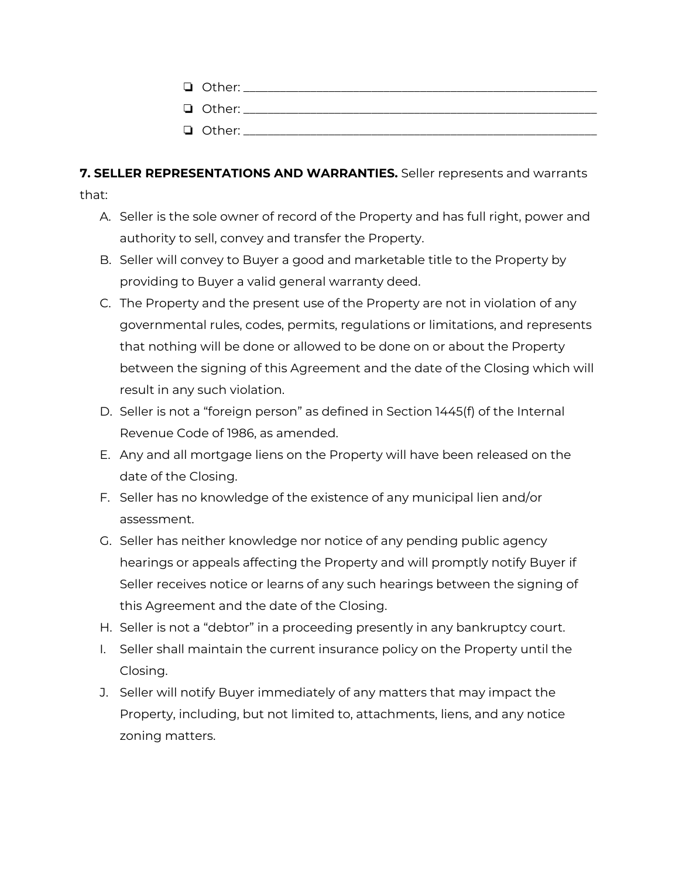## **7. SELLER REPRESENTATIONS AND WARRANTIES.** Seller represents and warrants

that:

- A. Seller is the sole owner of record of the Property and has full right, power and authority to sell, convey and transfer the Property.
- B. Seller will convey to Buyer a good and marketable title to the Property by providing to Buyer a valid general warranty deed.
- C. The Property and the present use of the Property are not in violation of any governmental rules, codes, permits, regulations or limitations, and represents that nothing will be done or allowed to be done on or about the Property between the signing of this Agreement and the date of the Closing which will result in any such violation.
- D. Seller is not a "foreign person" as defined in Section 1445(f) of the Internal Revenue Code of 1986, as amended.
- E. Any and all mortgage liens on the Property will have been released on the date of the Closing.
- F. Seller has no knowledge of the existence of any municipal lien and/or assessment.
- G. Seller has neither knowledge nor notice of any pending public agency hearings or appeals affecting the Property and will promptly notify Buyer if Seller receives notice or learns of any such hearings between the signing of this Agreement and the date of the Closing.
- H. Seller is not a "debtor" in a proceeding presently in any bankruptcy court.
- I. Seller shall maintain the current insurance policy on the Property until the Closing.
- J. Seller will notify Buyer immediately of any matters that may impact the Property, including, but not limited to, attachments, liens, and any notice zoning matters.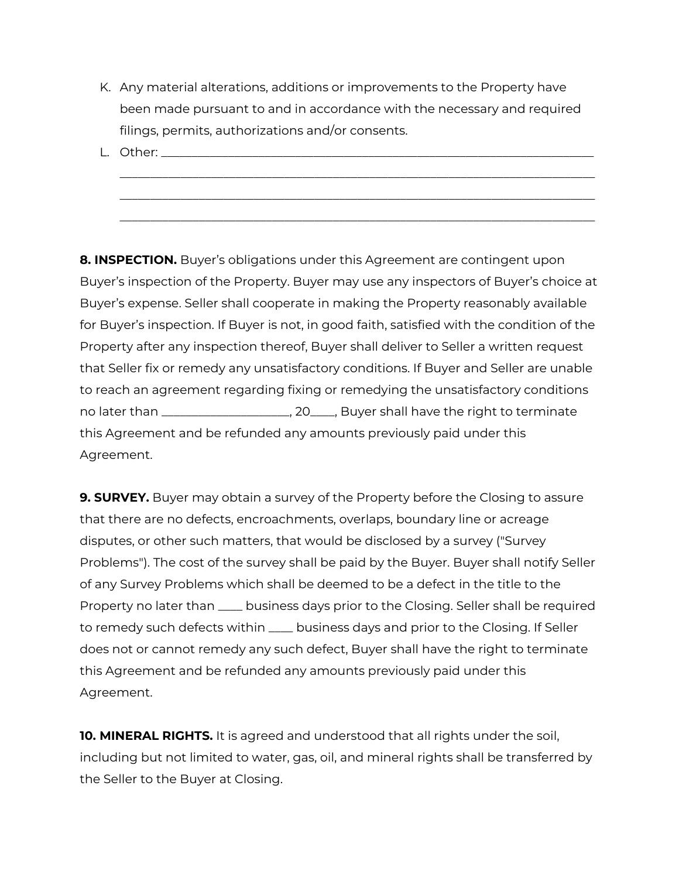K. Any material alterations, additions or improvements to the Property have been made pursuant to and in accordance with the necessary and required filings, permits, authorizations and/or consents.

\_\_\_\_\_\_\_\_\_\_\_\_\_\_\_\_\_\_\_\_\_\_\_\_\_\_\_\_\_\_\_\_\_\_\_\_\_\_\_\_\_\_\_\_\_\_\_\_\_\_\_\_\_\_\_\_\_\_\_\_\_\_\_\_\_\_\_\_\_\_\_\_\_\_\_\_\_\_ \_\_\_\_\_\_\_\_\_\_\_\_\_\_\_\_\_\_\_\_\_\_\_\_\_\_\_\_\_\_\_\_\_\_\_\_\_\_\_\_\_\_\_\_\_\_\_\_\_\_\_\_\_\_\_\_\_\_\_\_\_\_\_\_\_\_\_\_\_\_\_\_\_\_\_\_\_\_ \_\_\_\_\_\_\_\_\_\_\_\_\_\_\_\_\_\_\_\_\_\_\_\_\_\_\_\_\_\_\_\_\_\_\_\_\_\_\_\_\_\_\_\_\_\_\_\_\_\_\_\_\_\_\_\_\_\_\_\_\_\_\_\_\_\_\_\_\_\_\_\_\_\_\_\_\_\_

 $L.$  Other: $\_\_$ 

**8. INSPECTION.** Buyer's obligations under this Agreement are contingent upon Buyer's inspection of the Property. Buyer may use any inspectors of Buyer's choice at Buyer's expense. Seller shall cooperate in making the Property reasonably available for Buyer's inspection. If Buyer is not, in good faith, satisfied with the condition of the Property after any inspection thereof, Buyer shall deliver to Seller a written request that Seller fix or remedy any unsatisfactory conditions. If Buyer and Seller are unable to reach an agreement regarding fixing or remedying the unsatisfactory conditions no later than \_\_\_\_\_\_\_\_\_\_\_\_\_\_\_\_\_\_\_\_\_, 20\_\_\_\_, Buyer shall have the right to terminate this Agreement and be refunded any amounts previously paid under this Agreement.

**9. SURVEY.** Buyer may obtain a survey of the Property before the Closing to assure that there are no defects, encroachments, overlaps, boundary line or acreage disputes, or other such matters, that would be disclosed by a survey ("Survey Problems"). The cost of the survey shall be paid by the Buyer. Buyer shall notify Seller of any Survey Problems which shall be deemed to be a defect in the title to the Property no later than \_\_\_\_ business days prior to the Closing. Seller shall be required to remedy such defects within \_\_\_\_ business days and prior to the Closing. If Seller does not or cannot remedy any such defect, Buyer shall have the right to terminate this Agreement and be refunded any amounts previously paid under this Agreement.

**10. MINERAL RIGHTS.** It is agreed and understood that all rights under the soil, including but not limited to water, gas, oil, and mineral rights shall be transferred by the Seller to the Buyer at Closing.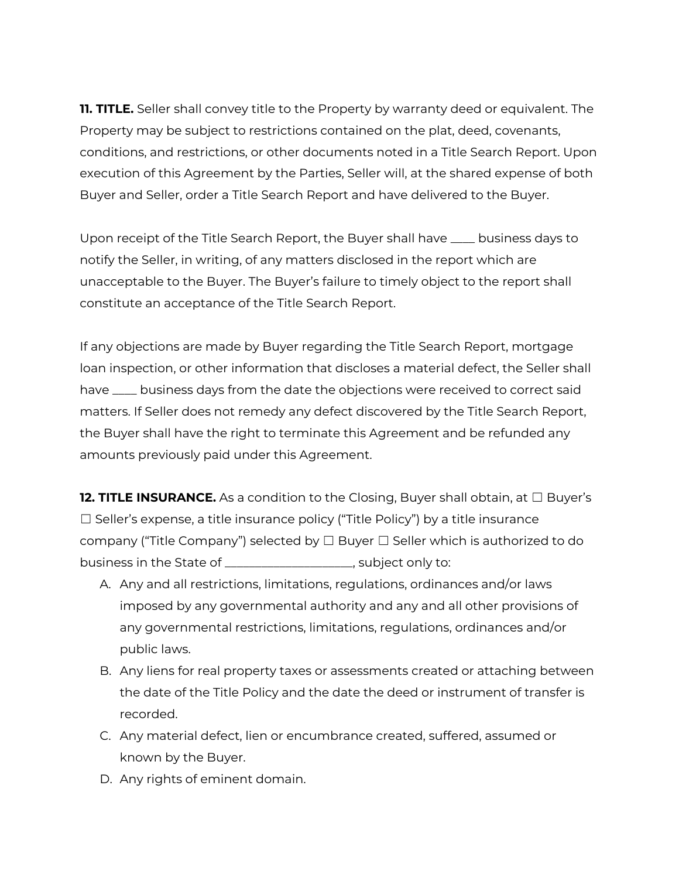**11. TITLE.** Seller shall convey title to the Property by warranty deed or equivalent. The Property may be subject to restrictions contained on the plat, deed, covenants, conditions, and restrictions, or other documents noted in a Title Search Report. Upon execution of this Agreement by the Parties, Seller will, at the shared expense of both Buyer and Seller, order a Title Search Report and have delivered to the Buyer.

Upon receipt of the Title Search Report, the Buyer shall have \_\_\_\_ business days to notify the Seller, in writing, of any matters disclosed in the report which are unacceptable to the Buyer. The Buyer's failure to timely object to the report shall constitute an acceptance of the Title Search Report.

If any objections are made by Buyer regarding the Title Search Report, mortgage loan inspection, or other information that discloses a material defect, the Seller shall have \_\_\_\_ business days from the date the objections were received to correct said matters. If Seller does not remedy any defect discovered by the Title Search Report, the Buyer shall have the right to terminate this Agreement and be refunded any amounts previously paid under this Agreement.

**12. TITLE INSURANCE.** As a condition to the Closing, Buyer shall obtain, at □ Buyer's  $\Box$  Seller's expense, a title insurance policy ("Title Policy") by a title insurance company ("Title Company") selected by  $\Box$  Buyer  $\Box$  Seller which is authorized to do business in the State of \_\_\_\_\_\_\_\_\_\_\_\_\_\_\_\_\_\_\_\_\_, subject only to:

- A. Any and all restrictions, limitations, regulations, ordinances and/or laws imposed by any governmental authority and any and all other provisions of any governmental restrictions, limitations, regulations, ordinances and/or public laws.
- B. Any liens for real property taxes or assessments created or attaching between the date of the Title Policy and the date the deed or instrument of transfer is recorded.
- C. Any material defect, lien or encumbrance created, suffered, assumed or known by the Buyer.
- D. Any rights of eminent domain.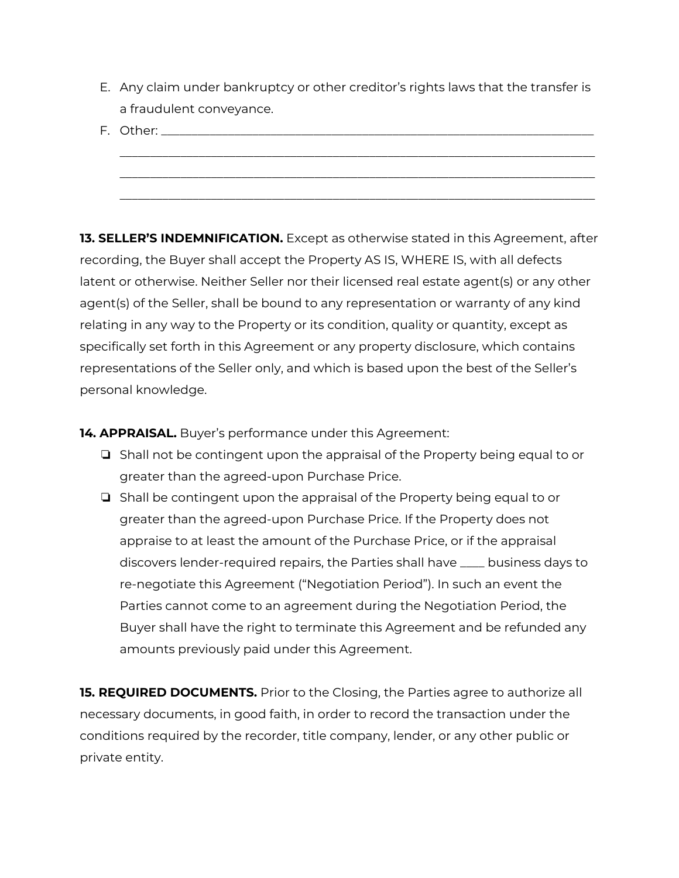- E. Any claim under bankruptcy or other creditor's rights laws that the transfer is a fraudulent conveyance.
- F. Other: \_\_\_\_\_\_\_\_\_\_\_\_\_\_\_\_\_\_\_\_\_\_\_\_\_\_\_\_\_\_\_\_\_\_\_\_\_\_\_\_\_\_\_\_\_\_\_\_\_\_\_\_\_\_\_\_\_\_\_\_\_\_\_\_\_\_\_\_\_\_\_\_\_\_\_\_\_\_

\_\_\_\_\_\_\_\_\_\_\_\_\_\_\_\_\_\_\_\_\_\_\_\_\_\_\_\_\_\_\_\_\_\_\_\_\_\_\_\_\_\_\_\_\_\_\_\_\_\_\_\_\_\_\_\_\_\_\_\_\_\_\_\_\_\_\_\_\_\_\_\_\_\_\_\_\_\_ \_\_\_\_\_\_\_\_\_\_\_\_\_\_\_\_\_\_\_\_\_\_\_\_\_\_\_\_\_\_\_\_\_\_\_\_\_\_\_\_\_\_\_\_\_\_\_\_\_\_\_\_\_\_\_\_\_\_\_\_\_\_\_\_\_\_\_\_\_\_\_\_\_\_\_\_\_\_

**13. SELLER'S INDEMNIFICATION.** Except as otherwise stated in this Agreement, after recording, the Buyer shall accept the Property AS IS, WHERE IS, with all defects latent or otherwise. Neither Seller nor their licensed real estate agent(s) or any other agent(s) of the Seller, shall be bound to any representation or warranty of any kind relating in any way to the Property or its condition, quality or quantity, except as specifically set forth in this Agreement or any property disclosure, which contains representations of the Seller only, and which is based upon the best of the Seller's personal knowledge.

**14. APPRAISAL.** Buyer's performance under this Agreement:

- ❏ Shall not be contingent upon the appraisal of the Property being equal to or greater than the agreed-upon Purchase Price.
- ❏ Shall be contingent upon the appraisal of the Property being equal to or greater than the agreed-upon Purchase Price. If the Property does not appraise to at least the amount of the Purchase Price, or if the appraisal discovers lender-required repairs, the Parties shall have \_\_\_\_ business days to re-negotiate this Agreement ("Negotiation Period"). In such an event the Parties cannot come to an agreement during the Negotiation Period, the Buyer shall have the right to terminate this Agreement and be refunded any amounts previously paid under this Agreement.

**15. REQUIRED DOCUMENTS.** Prior to the Closing, the Parties agree to authorize all necessary documents, in good faith, in order to record the transaction under the conditions required by the recorder, title company, lender, or any other public or private entity.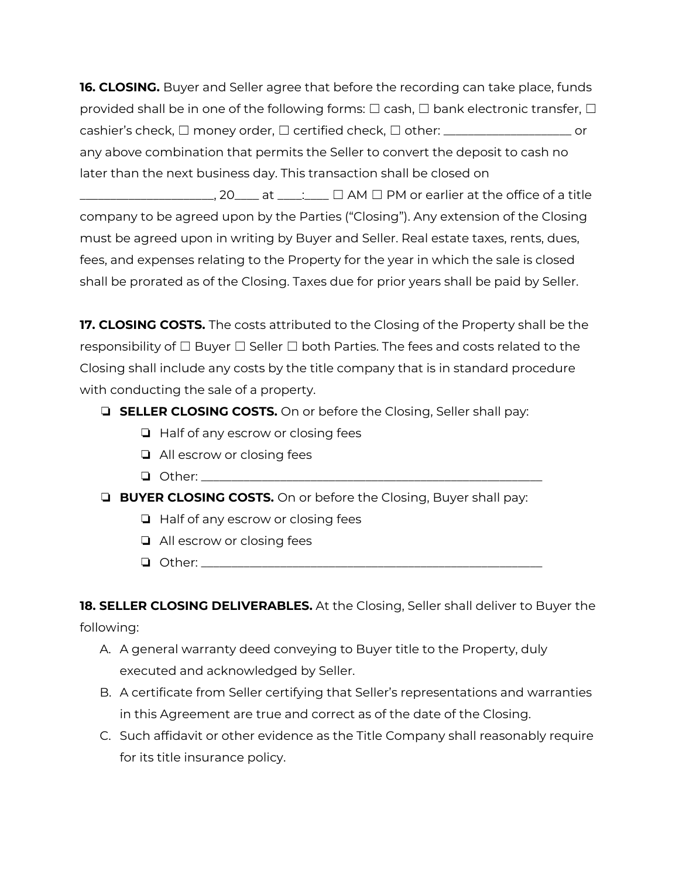**16. CLOSING.** Buyer and Seller agree that before the recording can take place, funds provided shall be in one of the following forms:  $\Box$  cash,  $\Box$  bank electronic transfer,  $\Box$ cashier's check, □ money order, □ certified check, □ other: \_\_\_\_\_\_\_\_\_\_\_\_\_\_\_\_\_\_\_\_\_ or any above combination that permits the Seller to convert the deposit to cash no later than the next business day. This transaction shall be closed on

 $\Box$ \_\_\_\_\_\_\_\_\_, 20\_\_\_\_\_ at \_\_\_\_:\_\_\_\_  $\Box$  AM  $\Box$  PM or earlier at the office of a title company to be agreed upon by the Parties ("Closing"). Any extension of the Closing must be agreed upon in writing by Buyer and Seller. Real estate taxes, rents, dues, fees, and expenses relating to the Property for the year in which the sale is closed shall be prorated as of the Closing. Taxes due for prior years shall be paid by Seller.

**17. CLOSING COSTS.** The costs attributed to the Closing of the Property shall be the responsibility of  $\Box$  Buyer  $\Box$  Seller  $\Box$  both Parties. The fees and costs related to the Closing shall include any costs by the title company that is in standard procedure with conducting the sale of a property.

## ❏ **SELLER CLOSING COSTS.** On or before the Closing, Seller shall pay:

- ❏ Half of any escrow or closing fees
- ❏ All escrow or closing fees
- $\Box$  Other:  $\Box$

❏ **BUYER CLOSING COSTS.** On or before the Closing, Buyer shall pay:

- ❏ Half of any escrow or closing fees
- ❏ All escrow or closing fees
- ❏ Other: \_\_\_\_\_\_\_\_\_\_\_\_\_\_\_\_\_\_\_\_\_\_\_\_\_\_\_\_\_\_\_\_\_\_\_\_\_\_\_\_\_\_\_\_\_\_\_\_\_\_\_\_\_\_\_\_

**18. SELLER CLOSING DELIVERABLES.** At the Closing, Seller shall deliver to Buyer the following:

- A. A general warranty deed conveying to Buyer title to the Property, duly executed and acknowledged by Seller.
- B. A certificate from Seller certifying that Seller's representations and warranties in this Agreement are true and correct as of the date of the Closing.
- C. Such affidavit or other evidence as the Title Company shall reasonably require for its title insurance policy.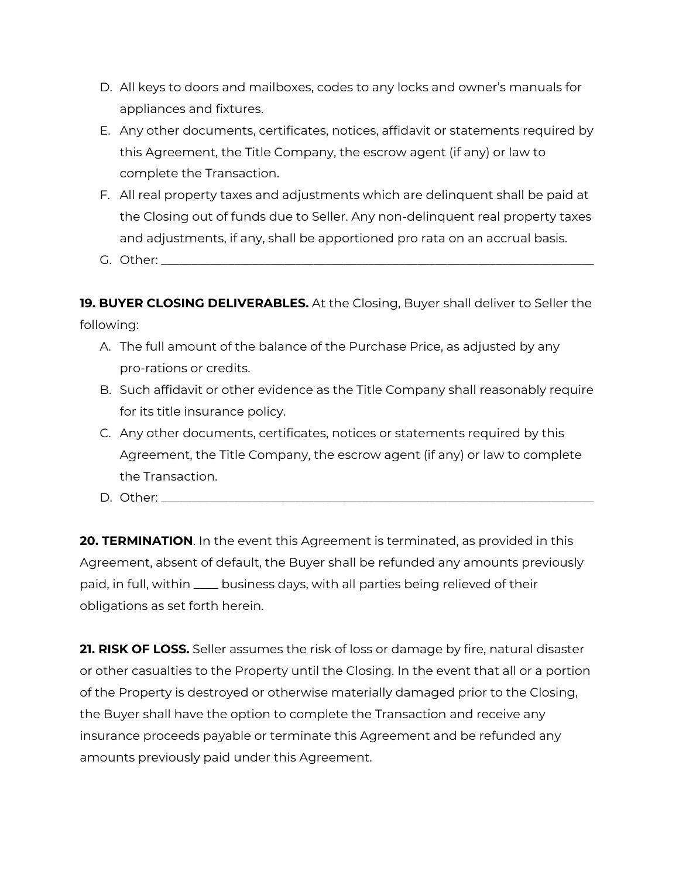- D. All keys to doors and mailboxes, codes to any locks and owner's manuals for appliances and fixtures.
- E. Any other documents, certificates, notices, affidavit or statements required by this Agreement, the Title Company, the escrow agent (if any) or law to complete the Transaction.
- F. All real property taxes and adjustments which are delinquent shall be paid at the Closing out of funds due to Seller. Any non-delinquent real property taxes and adjustments, if any, shall be apportioned pro rata on an accrual basis.
- G. Other:

**19. BUYER CLOSING DELIVERABLES.** At the Closing, Buyer shall deliver to Seller the following:

- A. The full amount of the balance of the Purchase Price, as adjusted by any pro-rations or credits.
- B. Such affidavit or other evidence as the Title Company shall reasonably require for its title insurance policy.
- C. Any other documents, certificates, notices or statements required by this Agreement, the Title Company, the escrow agent (if any) or law to complete the Transaction.
- D. Other:

**20. TERMINATION**. In the event this Agreement is terminated, as provided in this Agreement, absent of default, the Buyer shall be refunded any amounts previously paid, in full, within \_\_\_\_ business days, with all parties being relieved of their obligations as set forth herein.

**21. RISK OF LOSS.** Seller assumes the risk of loss or damage by fire, natural disaster or other casualties to the Property until the Closing. In the event that all or a portion of the Property is destroyed or otherwise materially damaged prior to the Closing, the Buyer shall have the option to complete the Transaction and receive any insurance proceeds payable or terminate this Agreement and be refunded any amounts previously paid under this Agreement.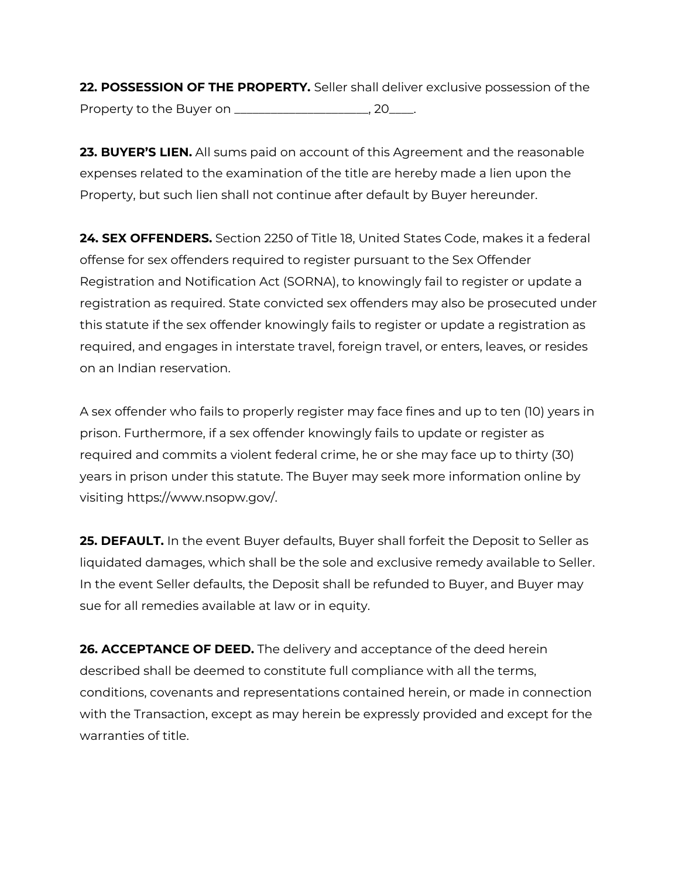**22. POSSESSION OF THE PROPERTY.** Seller shall deliver exclusive possession of the Property to the Buyer on \_\_\_\_\_\_\_\_\_\_\_\_\_\_\_\_\_\_\_\_\_\_, 20\_\_\_\_.

**23. BUYER'S LIEN.** All sums paid on account of this Agreement and the reasonable expenses related to the examination of the title are hereby made a lien upon the Property, but such lien shall not continue after default by Buyer hereunder.

**24. SEX OFFENDERS.** Section 2250 of Title 18, United States Code, makes it a federal offense for sex offenders required to register pursuant to the Sex Offender Registration and Notification Act (SORNA), to knowingly fail to register or update a registration as required. State convicted sex offenders may also be prosecuted under this statute if the sex offender knowingly fails to register or update a registration as required, and engages in interstate travel, foreign travel, or enters, leaves, or resides on an Indian reservation.

A sex offender who fails to properly register may face fines and up to ten (10) years in prison. Furthermore, if a sex offender knowingly fails to update or register as required and commits a violent federal crime, he or she may face up to thirty (30) years in prison under this statute. The Buyer may seek more information online by visiting https://www.nsopw.gov/.

**25. DEFAULT.** In the event Buyer defaults, Buyer shall forfeit the Deposit to Seller as liquidated damages, which shall be the sole and exclusive remedy available to Seller. In the event Seller defaults, the Deposit shall be refunded to Buyer, and Buyer may sue for all remedies available at law or in equity.

**26. ACCEPTANCE OF DEED.** The delivery and acceptance of the deed herein described shall be deemed to constitute full compliance with all the terms, conditions, covenants and representations contained herein, or made in connection with the Transaction, except as may herein be expressly provided and except for the warranties of title.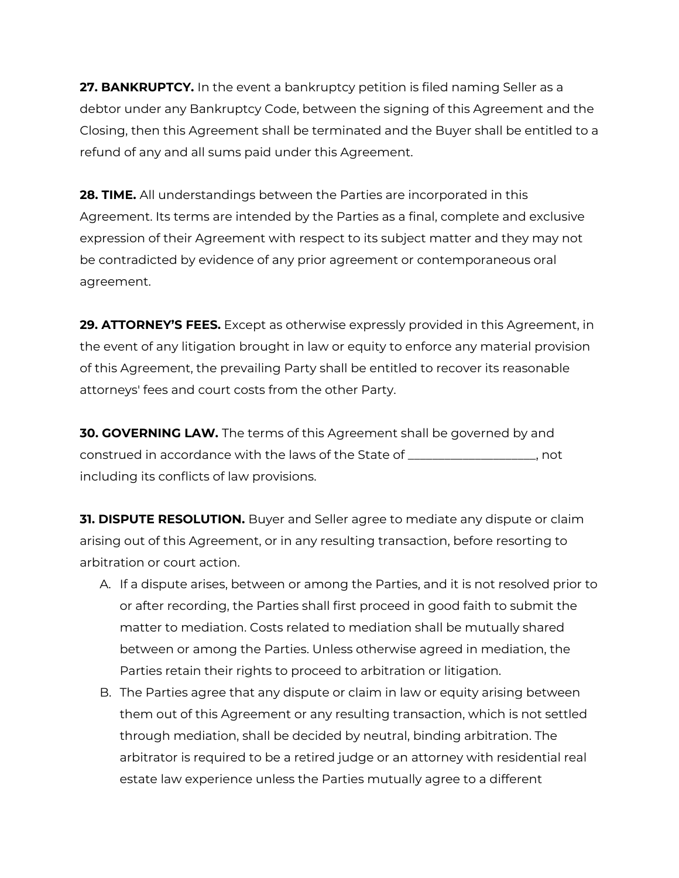**27. BANKRUPTCY.** In the event a bankruptcy petition is filed naming Seller as a debtor under any Bankruptcy Code, between the signing of this Agreement and the Closing, then this Agreement shall be terminated and the Buyer shall be entitled to a refund of any and all sums paid under this Agreement.

**28. TIME.** All understandings between the Parties are incorporated in this Agreement. Its terms are intended by the Parties as a final, complete and exclusive expression of their Agreement with respect to its subject matter and they may not be contradicted by evidence of any prior agreement or contemporaneous oral agreement.

**29. ATTORNEY'S FEES.** Except as otherwise expressly provided in this Agreement, in the event of any litigation brought in law or equity to enforce any material provision of this Agreement, the prevailing Party shall be entitled to recover its reasonable attorneys' fees and court costs from the other Party.

**30. GOVERNING LAW.** The terms of this Agreement shall be governed by and construed in accordance with the laws of the State of \_\_\_\_\_\_\_\_\_\_\_\_\_\_\_\_\_\_\_\_\_, not including its conflicts of law provisions.

**31. DISPUTE RESOLUTION.** Buyer and Seller agree to mediate any dispute or claim arising out of this Agreement, or in any resulting transaction, before resorting to arbitration or court action.

- A. If a dispute arises, between or among the Parties, and it is not resolved prior to or after recording, the Parties shall first proceed in good faith to submit the matter to mediation. Costs related to mediation shall be mutually shared between or among the Parties. Unless otherwise agreed in mediation, the Parties retain their rights to proceed to arbitration or litigation.
- B. The Parties agree that any dispute or claim in law or equity arising between them out of this Agreement or any resulting transaction, which is not settled through mediation, shall be decided by neutral, binding arbitration. The arbitrator is required to be a retired judge or an attorney with residential real estate law experience unless the Parties mutually agree to a different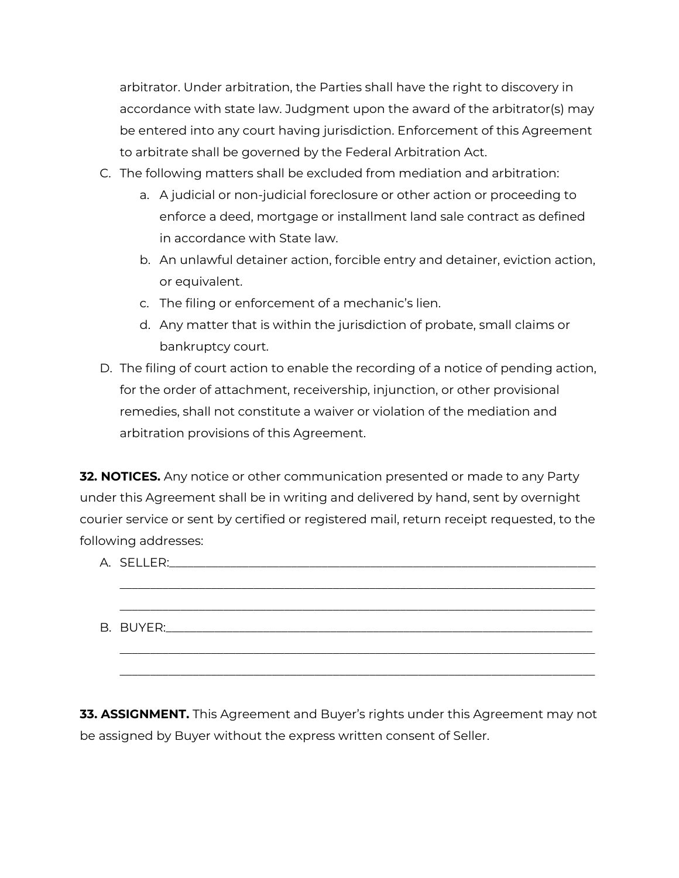arbitrator. Under arbitration, the Parties shall have the right to discovery in accordance with state law. Judgment upon the award of the arbitrator(s) may be entered into any court having jurisdiction. Enforcement of this Agreement to arbitrate shall be governed by the Federal Arbitration Act.

- C. The following matters shall be excluded from mediation and arbitration:
	- a. A judicial or non-judicial foreclosure or other action or proceeding to enforce a deed, mortgage or installment land sale contract as defined in accordance with State law.
	- b. An unlawful detainer action, forcible entry and detainer, eviction action, or equivalent.
	- c. The filing or enforcement of a mechanic's lien.
	- d. Any matter that is within the jurisdiction of probate, small claims or bankruptcy court.
- D. The filing of court action to enable the recording of a notice of pending action, for the order of attachment, receivership, injunction, or other provisional remedies, shall not constitute a waiver or violation of the mediation and arbitration provisions of this Agreement.

**32. NOTICES.** Any notice or other communication presented or made to any Party under this Agreement shall be in writing and delivered by hand, sent by overnight courier service or sent by certified or registered mail, return receipt requested, to the following addresses:

**33. ASSIGNMENT.** This Agreement and Buyer's rights under this Agreement may not be assigned by Buyer without the express written consent of Seller.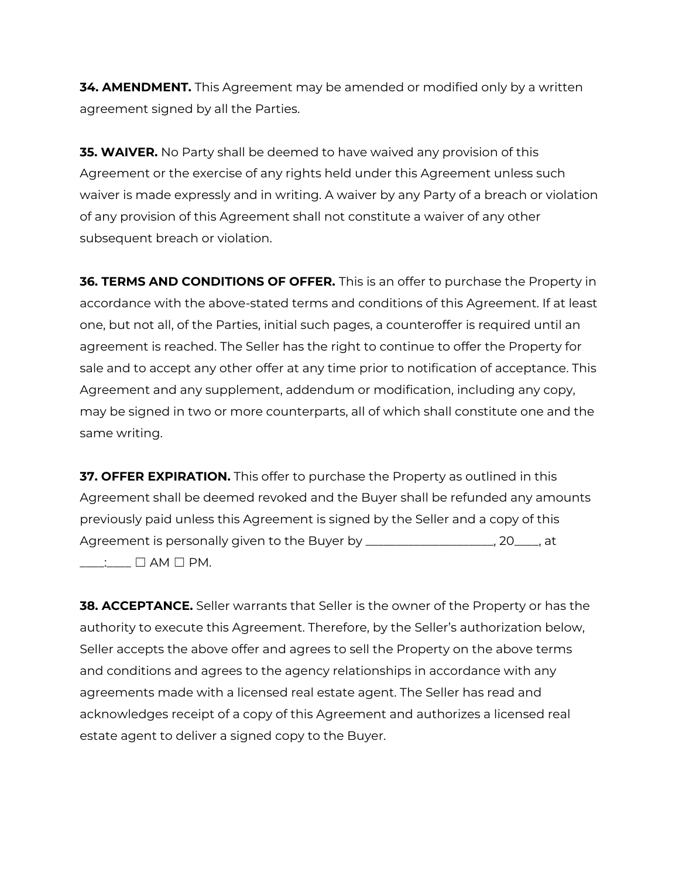**34. AMENDMENT.** This Agreement may be amended or modified only by a written agreement signed by all the Parties.

**35. WAIVER.** No Party shall be deemed to have waived any provision of this Agreement or the exercise of any rights held under this Agreement unless such waiver is made expressly and in writing. A waiver by any Party of a breach or violation of any provision of this Agreement shall not constitute a waiver of any other subsequent breach or violation.

**36. TERMS AND CONDITIONS OF OFFER.** This is an offer to purchase the Property in accordance with the above-stated terms and conditions of this Agreement. If at least one, but not all, of the Parties, initial such pages, a counteroffer is required until an agreement is reached. The Seller has the right to continue to offer the Property for sale and to accept any other offer at any time prior to notification of acceptance. This Agreement and any supplement, addendum or modification, including any copy, may be signed in two or more counterparts, all of which shall constitute one and the same writing.

**37. OFFER EXPIRATION.** This offer to purchase the Property as outlined in this Agreement shall be deemed revoked and the Buyer shall be refunded any amounts previously paid unless this Agreement is signed by the Seller and a copy of this Agreement is personally given to the Buyer by \_\_\_\_\_\_\_\_\_\_\_\_\_\_\_\_\_\_\_\_\_, 20\_\_\_\_, at  $\Box$   $\Box$  AM  $\Box$  PM.

**38. ACCEPTANCE.** Seller warrants that Seller is the owner of the Property or has the authority to execute this Agreement. Therefore, by the Seller's authorization below, Seller accepts the above offer and agrees to sell the Property on the above terms and conditions and agrees to the agency relationships in accordance with any agreements made with a licensed real estate agent. The Seller has read and acknowledges receipt of a copy of this Agreement and authorizes a licensed real estate agent to deliver a signed copy to the Buyer.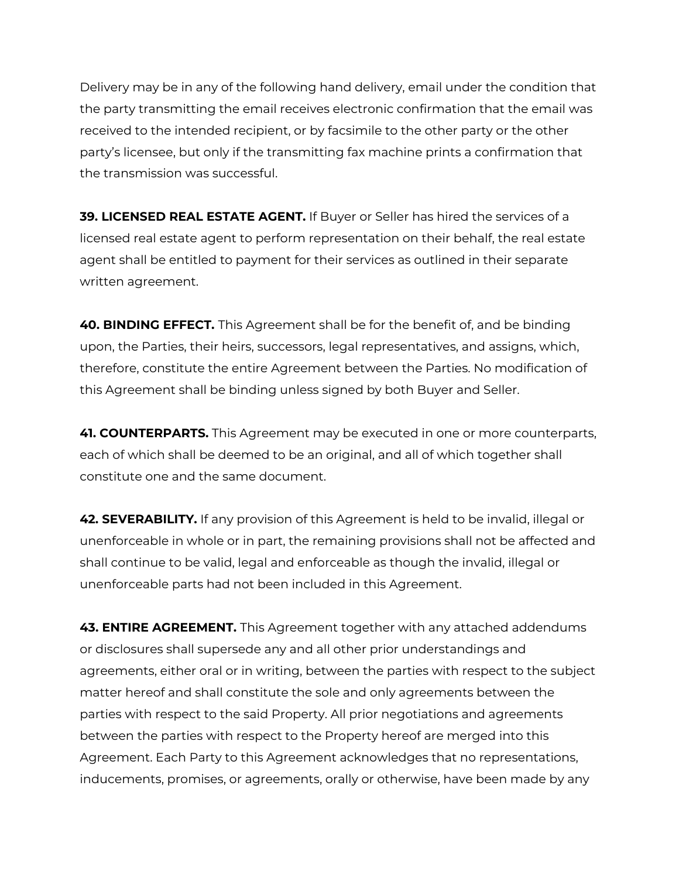Delivery may be in any of the following hand delivery, email under the condition that the party transmitting the email receives electronic confirmation that the email was received to the intended recipient, or by facsimile to the other party or the other party's licensee, but only if the transmitting fax machine prints a confirmation that the transmission was successful.

**39. LICENSED REAL ESTATE AGENT.** If Buyer or Seller has hired the services of a licensed real estate agent to perform representation on their behalf, the real estate agent shall be entitled to payment for their services as outlined in their separate written agreement.

**40. BINDING EFFECT.** This Agreement shall be for the benefit of, and be binding upon, the Parties, their heirs, successors, legal representatives, and assigns, which, therefore, constitute the entire Agreement between the Parties. No modification of this Agreement shall be binding unless signed by both Buyer and Seller.

**41. COUNTERPARTS.** This Agreement may be executed in one or more counterparts, each of which shall be deemed to be an original, and all of which together shall constitute one and the same document.

**42. SEVERABILITY.** If any provision of this Agreement is held to be invalid, illegal or unenforceable in whole or in part, the remaining provisions shall not be affected and shall continue to be valid, legal and enforceable as though the invalid, illegal or unenforceable parts had not been included in this Agreement.

**43. ENTIRE AGREEMENT.** This Agreement together with any attached addendums or disclosures shall supersede any and all other prior understandings and agreements, either oral or in writing, between the parties with respect to the subject matter hereof and shall constitute the sole and only agreements between the parties with respect to the said Property. All prior negotiations and agreements between the parties with respect to the Property hereof are merged into this Agreement. Each Party to this Agreement acknowledges that no representations, inducements, promises, or agreements, orally or otherwise, have been made by any